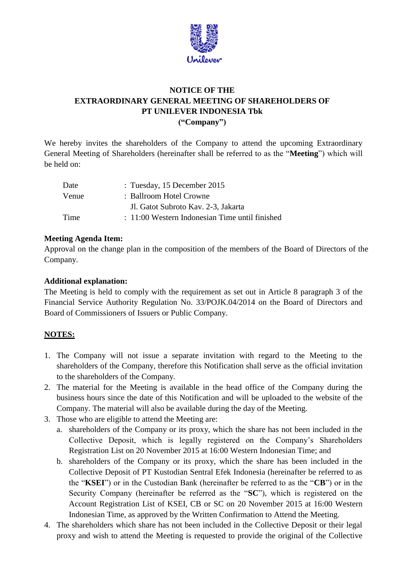

## **NOTICE OF THE EXTRAORDINARY GENERAL MEETING OF SHAREHOLDERS OF PT UNILEVER INDONESIA Tbk ("Company")**

We hereby invites the shareholders of the Company to attend the upcoming Extraordinary General Meeting of Shareholders (hereinafter shall be referred to as the "**Meeting**") which will be held on:

| Date  | : Tuesday, 15 December 2015                    |
|-------|------------------------------------------------|
| Venue | : Ballroom Hotel Crowne                        |
|       | Jl. Gatot Subroto Kav. 2-3, Jakarta            |
| Time  | : 11:00 Western Indonesian Time until finished |

## **Meeting Agenda Item:**

Approval on the change plan in the composition of the members of the Board of Directors of the Company.

## **Additional explanation:**

The Meeting is held to comply with the requirement as set out in Article 8 paragraph 3 of the Financial Service Authority Regulation No. 33/POJK.04/2014 on the Board of Directors and Board of Commissioners of Issuers or Public Company.

## **NOTES:**

- 1. The Company will not issue a separate invitation with regard to the Meeting to the shareholders of the Company, therefore this Notification shall serve as the official invitation to the shareholders of the Company.
- 2. The material for the Meeting is available in the head office of the Company during the business hours since the date of this Notification and will be uploaded to the website of the Company. The material will also be available during the day of the Meeting.
- 3. Those who are eligible to attend the Meeting are:
	- a. shareholders of the Company or its proxy, which the share has not been included in the Collective Deposit, which is legally registered on the Company's Shareholders Registration List on 20 November 2015 at 16:00 Western Indonesian Time; and
	- b. shareholders of the Company or its proxy, which the share has been included in the Collective Deposit of PT Kustodian Sentral Efek Indonesia (hereinafter be referred to as the "**KSEI**") or in the Custodian Bank (hereinafter be referred to as the "**CB**") or in the Security Company (hereinafter be referred as the "**SC**"), which is registered on the Account Registration List of KSEI, CB or SC on 20 November 2015 at 16:00 Western Indonesian Time, as approved by the Written Confirmation to Attend the Meeting.
- 4. The shareholders which share has not been included in the Collective Deposit or their legal proxy and wish to attend the Meeting is requested to provide the original of the Collective